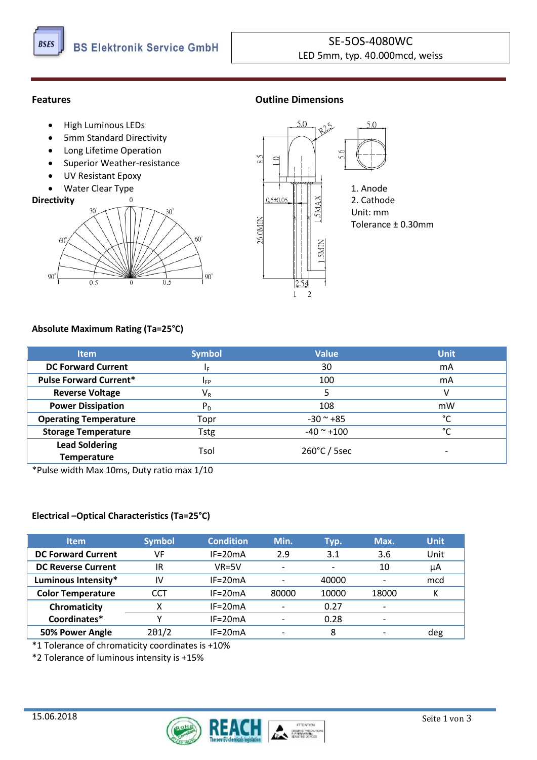

## **Features Outline Dimensions**

- High Luminous LEDs
- 5mm Standard Directivity
- Long Lifetime Operation
- Superior Weather-resistance
- UV Resistant Epoxy

# $\mathcal{A}$ 30 ഩ  $60$  $90^{\circ}$  $90^{\circ}$  $\overline{0}$



## **Absolute Maximum Rating (Ta=25°C)**

| <b>Item</b>                   | <b>Symbol</b> | <b>Value</b>           | <b>Unit</b>   |  |
|-------------------------------|---------------|------------------------|---------------|--|
| <b>DC Forward Current</b>     | ΙF            | 30                     | mA            |  |
| <b>Pulse Forward Current*</b> | <b>IFP</b>    | 100                    | mA            |  |
| <b>Reverse Voltage</b>        | $V_{R}$       |                        |               |  |
| <b>Power Dissipation</b>      | $P_D$         | 108                    | mW            |  |
| <b>Operating Temperature</b>  | Topr          | $-30$ $-$ +85          | °C            |  |
| <b>Storage Temperature</b>    | Tstg          | $-40$ $^{\circ}$ +100  | $\mathcal{C}$ |  |
| <b>Lead Soldering</b>         | Tsol          | $260^{\circ}$ C / 5sec | -             |  |
| <b>Temperature</b>            |               |                        |               |  |

\*Pulse width Max 10ms, Duty ratio max 1/10

## **Electrical –Optical Characteristics (Ta=25°C)**

| <b>Item</b>               | <b>Symbol</b> | <b>Condition</b> | Min.                     | Typ.                     | Max.  | <b>Unit</b> |
|---------------------------|---------------|------------------|--------------------------|--------------------------|-------|-------------|
| <b>DC Forward Current</b> | VF            | $IF = 20mA$      | 2.9                      | 3.1                      | 3.6   | Unit        |
| <b>DC Reverse Current</b> | IR            | $VR = 5V$        | $\overline{\phantom{0}}$ | $\overline{\phantom{0}}$ | 10    | μA          |
| Luminous Intensity*       | IV            | $IF = 20mA$      |                          | 40000                    |       | mcd         |
| <b>Color Temperature</b>  | CCT           | $IF = 20mA$      | 80000                    | 10000                    | 18000 | К           |
| Chromaticity              | x             | $IF = 20mA$      |                          | 0.27                     |       |             |
| Coordinates*              |               | $IF = 20mA$      |                          | 0.28                     |       |             |
| 50% Power Angle           | $2\theta$ 1/2 | $IF = 20mA$      |                          | 8                        |       | deg         |

\*1 Tolerance of chromaticity coordinates is +10%

\*2 Tolerance of luminous intensity is +15%

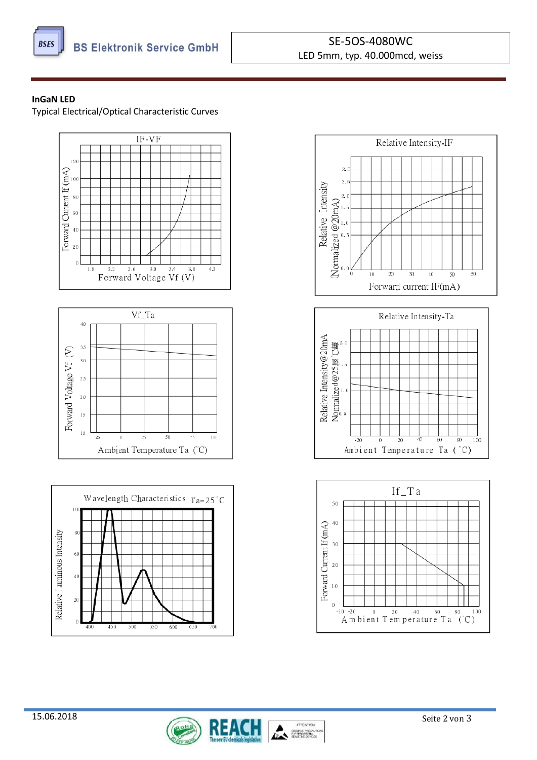

## SE-5OS-4080WC LED 5mm, typ. 40.000mcd, weiss

#### **InGaN LED**

Typical Electrical/Optical Characteristic Curves